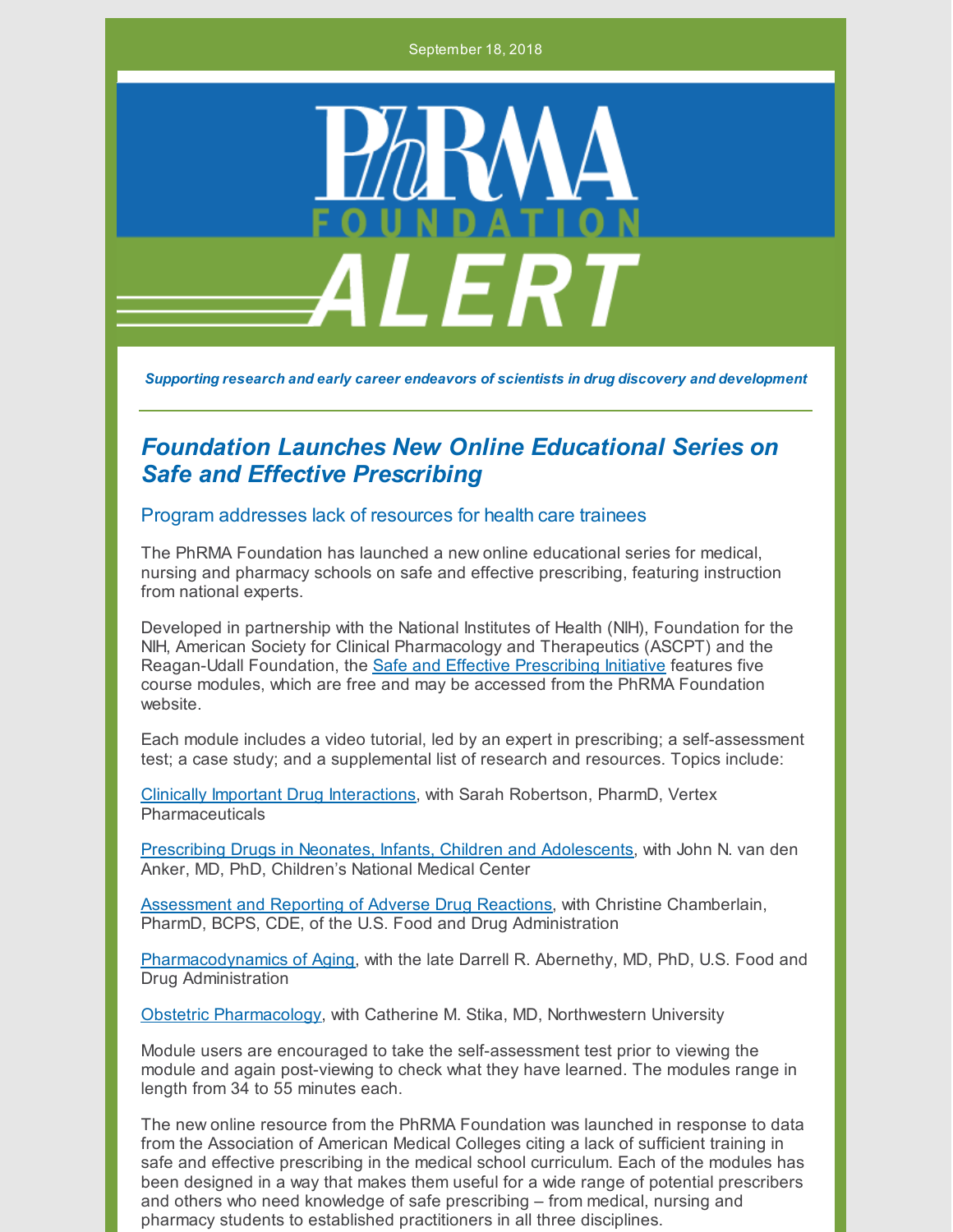September 18, 2018



*Supporting research and early career endeavors of scientists in drug discovery and development*

## *Foundation Launches New Online Educational Series on Safe and Effective Prescribing*

## Program addresses lack of resources for health care trainees

The PhRMA Foundation has launched a new online educational series for medical, nursing and pharmacy schools on safe and effective prescribing, featuring instruction from national experts.

Developed in partnership with the National Institutes of Health (NIH), Foundation for the NIH, American Society for Clinical Pharmacology and Therapeutics (ASCPT) and the Reagan-Udall Foundation, the Safe and Effective [Prescribing](http://www.phrmafoundation.org/safe-and-effective-prescribing-project/) Initiative features five course modules, which are free and may be accessed from the PhRMA Foundation website.

Each module includes a video tutorial, led by an expert in prescribing; a self-assessment test; a case study; and a supplemental list of research and resources. Topics include:

Clinically Important Drug [Interactions](http://www.phrmafoundation.org/clinically-important-drug-interactions/), with Sarah Robertson, PharmD, Vertex Pharmaceuticals

Prescribing Drugs in Neonates, Infants, Children and [Adolescents](http://www.phrmafoundation.org/prescribing-drugs-in-neonates-infants-children-and-adolescents/), with John N. van den Anker, MD, PhD, Children's National Medical Center

[Assessment](http://www.phrmafoundation.org/assessment-and-reporting-of-adverse-drug-reactions/) and Reporting of Adverse Drug Reactions, with Christine Chamberlain, PharmD, BCPS, CDE, of the U.S. Food and Drug Administration

[Pharmacodynamics](http://www.phrmafoundation.org/pharmacodynamics-of-aging/) of Aging, with the late Darrell R. Abernethy, MD, PhD, U.S. Food and Drug Administration

Obstetric [Pharmacology](http://www.phrmafoundation.org/obstetric-pharmacology/), with Catherine M. Stika, MD, Northwestern University

Module users are encouraged to take the self-assessment test prior to viewing the module and again post-viewing to check what they have learned. The modules range in length from 34 to 55 minutes each.

The new online resource from the PhRMA Foundation was launched in response to data from the Association of American Medical Colleges citing a lack of sufficient training in safe and effective prescribing in the medical school curriculum. Each of the modules has been designed in a way that makes them useful for a wide range of potential prescribers and others who need knowledge of safe prescribing – from medical, nursing and pharmacy students to established practitioners in all three disciplines.